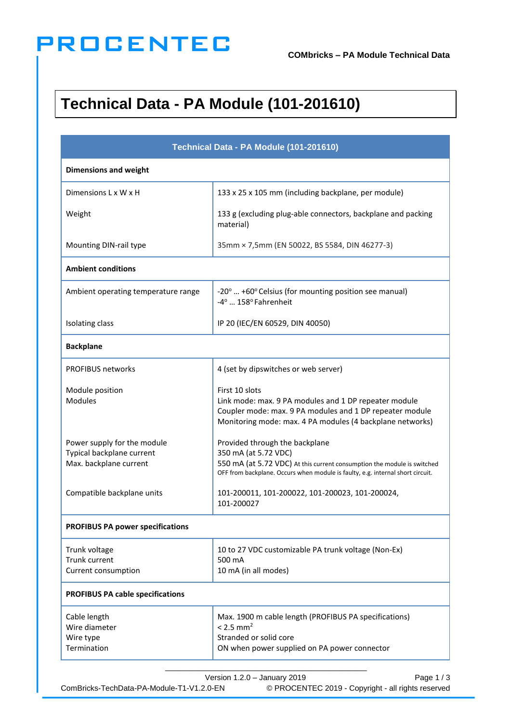## **PROCENTEC**

## **Technical Data - PA Module (101-201610)**

| Technical Data - PA Module (101-201610)<br><b>Dimensions and weight</b>            |                                                                                                                                                                                                                     |  |
|------------------------------------------------------------------------------------|---------------------------------------------------------------------------------------------------------------------------------------------------------------------------------------------------------------------|--|
|                                                                                    |                                                                                                                                                                                                                     |  |
| Weight                                                                             | 133 g (excluding plug-able connectors, backplane and packing<br>material)                                                                                                                                           |  |
| Mounting DIN-rail type                                                             | 35mm × 7,5mm (EN 50022, BS 5584, DIN 46277-3)                                                                                                                                                                       |  |
| <b>Ambient conditions</b>                                                          |                                                                                                                                                                                                                     |  |
| Ambient operating temperature range                                                | -20°  +60° Celsius (for mounting position see manual)<br>-4°  158° Fahrenheit                                                                                                                                       |  |
| Isolating class                                                                    | IP 20 (IEC/EN 60529, DIN 40050)                                                                                                                                                                                     |  |
| <b>Backplane</b>                                                                   |                                                                                                                                                                                                                     |  |
| <b>PROFIBUS networks</b>                                                           | 4 (set by dipswitches or web server)                                                                                                                                                                                |  |
| Module position<br><b>Modules</b>                                                  | First 10 slots<br>Link mode: max. 9 PA modules and 1 DP repeater module<br>Coupler mode: max. 9 PA modules and 1 DP repeater module<br>Monitoring mode: max. 4 PA modules (4 backplane networks)                    |  |
| Power supply for the module<br>Typical backplane current<br>Max. backplane current | Provided through the backplane<br>350 mA (at 5.72 VDC)<br>550 mA (at 5.72 VDC) At this current consumption the module is switched<br>OFF from backplane. Occurs when module is faulty, e.g. internal short circuit. |  |
| Compatible backplane units                                                         | 101-200011, 101-200022, 101-200023, 101-200024,<br>101-200027                                                                                                                                                       |  |
| <b>PROFIBUS PA power specifications</b>                                            |                                                                                                                                                                                                                     |  |
| Trunk voltage<br>Trunk current<br>Current consumption                              | 10 to 27 VDC customizable PA trunk voltage (Non-Ex)<br>500 mA<br>10 mA (in all modes)                                                                                                                               |  |
| <b>PROFIBUS PA cable specifications</b>                                            |                                                                                                                                                                                                                     |  |
| Cable length<br>Wire diameter<br>Wire type<br>Termination                          | Max. 1900 m cable length (PROFIBUS PA specifications)<br>$< 2.5$ mm <sup>2</sup><br>Stranded or solid core<br>ON when power supplied on PA power connector                                                          |  |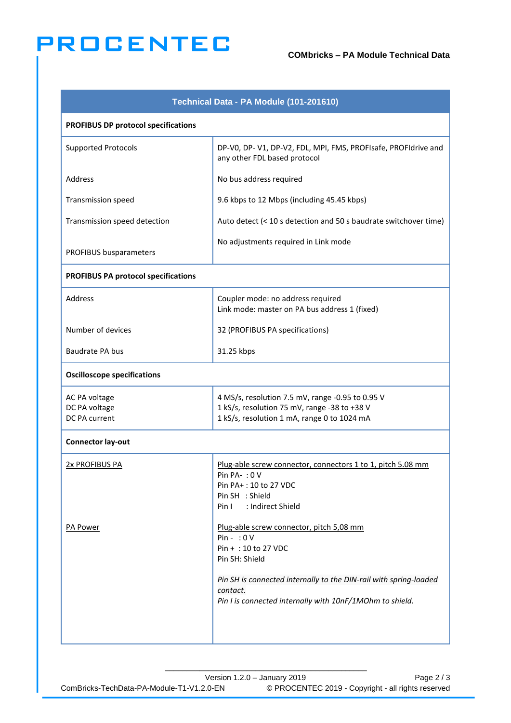## **PROCENTEC**

| Technical Data - PA Module (101-201610)         |                                                                                                                                                                                                                                                 |  |
|-------------------------------------------------|-------------------------------------------------------------------------------------------------------------------------------------------------------------------------------------------------------------------------------------------------|--|
| <b>PROFIBUS DP protocol specifications</b>      |                                                                                                                                                                                                                                                 |  |
| <b>Supported Protocols</b>                      | DP-V0, DP-V1, DP-V2, FDL, MPI, FMS, PROFIsafe, PROFIdrive and<br>any other FDL based protocol                                                                                                                                                   |  |
| Address                                         | No bus address required                                                                                                                                                                                                                         |  |
| <b>Transmission speed</b>                       | 9.6 kbps to 12 Mbps (including 45.45 kbps)                                                                                                                                                                                                      |  |
| Transmission speed detection                    | Auto detect (< 10 s detection and 50 s baudrate switchover time)                                                                                                                                                                                |  |
| PROFIBUS busparameters                          | No adjustments required in Link mode                                                                                                                                                                                                            |  |
| <b>PROFIBUS PA protocol specifications</b>      |                                                                                                                                                                                                                                                 |  |
| Address                                         | Coupler mode: no address required<br>Link mode: master on PA bus address 1 (fixed)                                                                                                                                                              |  |
| Number of devices                               | 32 (PROFIBUS PA specifications)                                                                                                                                                                                                                 |  |
| <b>Baudrate PA bus</b>                          | 31.25 kbps                                                                                                                                                                                                                                      |  |
| <b>Oscilloscope specifications</b>              |                                                                                                                                                                                                                                                 |  |
| AC PA voltage<br>DC PA voltage<br>DC PA current | 4 MS/s, resolution 7.5 mV, range -0.95 to 0.95 V<br>1 kS/s, resolution 75 mV, range -38 to +38 V<br>1 kS/s, resolution 1 mA, range 0 to 1024 mA                                                                                                 |  |
| <b>Connector lay-out</b>                        |                                                                                                                                                                                                                                                 |  |
| <b>2x PROFIBUS PA</b>                           | Plug-able screw connector, connectors 1 to 1, pitch 5.08 mm<br>Pin PA $-$ : 0 V<br>Pin PA+: 10 to 27 VDC<br>Pin SH : Shield<br>: Indirect Shield<br>Pin I                                                                                       |  |
| <b>PA Power</b>                                 | Plug-able screw connector, pitch 5,08 mm<br>$Pin - :O V$<br>Pin + : 10 to 27 VDC<br>Pin SH: Shield<br>Pin SH is connected internally to the DIN-rail with spring-loaded<br>contact.<br>Pin I is connected internally with 10nF/1MOhm to shield. |  |